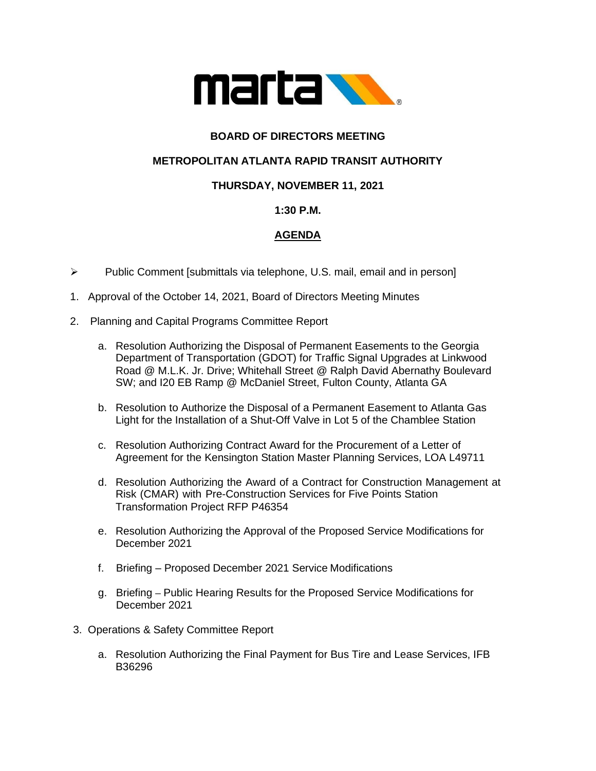

# **BOARD OF DIRECTORS MEETING**

### **METROPOLITAN ATLANTA RAPID TRANSIT AUTHORITY**

### **THURSDAY, NOVEMBER 11, 2021**

#### **1:30 P.M.**

# **AGENDA**

- ➢ Public Comment [submittals via telephone, U.S. mail, email and in person]
- 1. Approval of the October 14, 2021, Board of Directors Meeting Minutes
- 2. Planning and Capital Programs Committee Report
	- a. Resolution Authorizing the Disposal of Permanent Easements to the Georgia Department of Transportation (GDOT) for Traffic Signal Upgrades at Linkwood Road @ M.L.K. Jr. Drive; Whitehall Street @ Ralph David Abernathy Boulevard SW; and I20 EB Ramp @ McDaniel Street, Fulton County, Atlanta GA
	- b. Resolution to Authorize the Disposal of a Permanent Easement to Atlanta Gas Light for the Installation of a Shut-Off Valve in Lot 5 of the Chamblee Station
	- c. Resolution Authorizing Contract Award for the Procurement of a Letter of Agreement for the Kensington Station Master Planning Services, LOA L49711
	- d. Resolution Authorizing the Award of a Contract for Construction Management at Risk (CMAR) with Pre-Construction Services for Five Points Station Transformation Project RFP P46354
	- e. Resolution Authorizing the Approval of the Proposed Service Modifications for December 2021
	- f. Briefing Proposed December 2021 Service Modifications
	- g. Briefing **–** Public Hearing Results for the Proposed Service Modifications for December 2021
- 3. Operations & Safety Committee Report
	- a. Resolution Authorizing the Final Payment for Bus Tire and Lease Services, IFB B36296